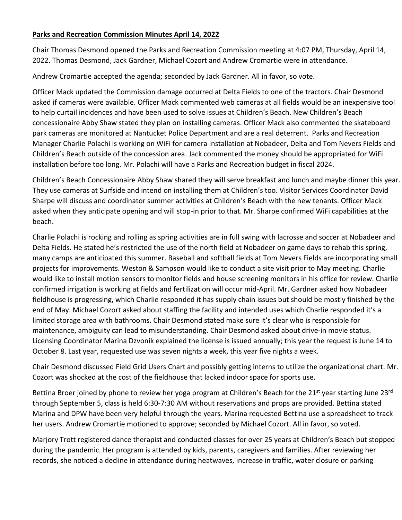## **Parks and Recreation Commission Minutes April 14, 2022**

Chair Thomas Desmond opened the Parks and Recreation Commission meeting at 4:07 PM, Thursday, April 14, 2022. Thomas Desmond, Jack Gardner, Michael Cozort and Andrew Cromartie were in attendance.

Andrew Cromartie accepted the agenda; seconded by Jack Gardner. All in favor, so vote.

Officer Mack updated the Commission damage occurred at Delta Fields to one of the tractors. Chair Desmond asked if cameras were available. Officer Mack commented web cameras at all fields would be an inexpensive tool to help curtail incidences and have been used to solve issues at Children's Beach. New Children's Beach concessionaire Abby Shaw stated they plan on installing cameras. Officer Mack also commented the skateboard park cameras are monitored at Nantucket Police Department and are a real deterrent. Parks and Recreation Manager Charlie Polachi is working on WiFi for camera installation at Nobadeer, Delta and Tom Nevers Fields and Children's Beach outside of the concession area. Jack commented the money should be appropriated for WiFi installation before too long. Mr. Polachi will have a Parks and Recreation budget in fiscal 2024.

Children's Beach Concessionaire Abby Shaw shared they will serve breakfast and lunch and maybe dinner this year. They use cameras at Surfside and intend on installing them at Children's too. Visitor Services Coordinator David Sharpe will discuss and coordinator summer activities at Children's Beach with the new tenants. Officer Mack asked when they anticipate opening and will stop-in prior to that. Mr. Sharpe confirmed WiFi capabilities at the beach.

Charlie Polachi is rocking and rolling as spring activities are in full swing with lacrosse and soccer at Nobadeer and Delta Fields. He stated he's restricted the use of the north field at Nobadeer on game days to rehab this spring, many camps are anticipated this summer. Baseball and softball fields at Tom Nevers Fields are incorporating small projects for improvements. Weston & Sampson would like to conduct a site visit prior to May meeting. Charlie would like to install motion sensors to monitor fields and house screening monitors in his office for review. Charlie confirmed irrigation is working at fields and fertilization will occur mid-April. Mr. Gardner asked how Nobadeer fieldhouse is progressing, which Charlie responded it has supply chain issues but should be mostly finished by the end of May. Michael Cozort asked about staffing the facility and intended uses which Charlie responded it's a limited storage area with bathrooms. Chair Desmond stated make sure it's clear who is responsible for maintenance, ambiguity can lead to misunderstanding. Chair Desmond asked about drive-in movie status. Licensing Coordinator Marina Dzvonik explained the license is issued annually; this year the request is June 14 to October 8. Last year, requested use was seven nights a week, this year five nights a week.

Chair Desmond discussed Field Grid Users Chart and possibly getting interns to utilize the organizational chart. Mr. Cozort was shocked at the cost of the fieldhouse that lacked indoor space for sports use.

Bettina Broer joined by phone to review her yoga program at Children's Beach for the 21<sup>st</sup> year starting June 23<sup>rd</sup> through September 5, class is held 6:30-7:30 AM without reservations and props are provided. Bettina stated Marina and DPW have been very helpful through the years. Marina requested Bettina use a spreadsheet to track her users. Andrew Cromartie motioned to approve; seconded by Michael Cozort. All in favor, so voted.

Marjory Trott registered dance therapist and conducted classes for over 25 years at Children's Beach but stopped during the pandemic. Her program is attended by kids, parents, caregivers and families. After reviewing her records, she noticed a decline in attendance during heatwaves, increase in traffic, water closure or parking